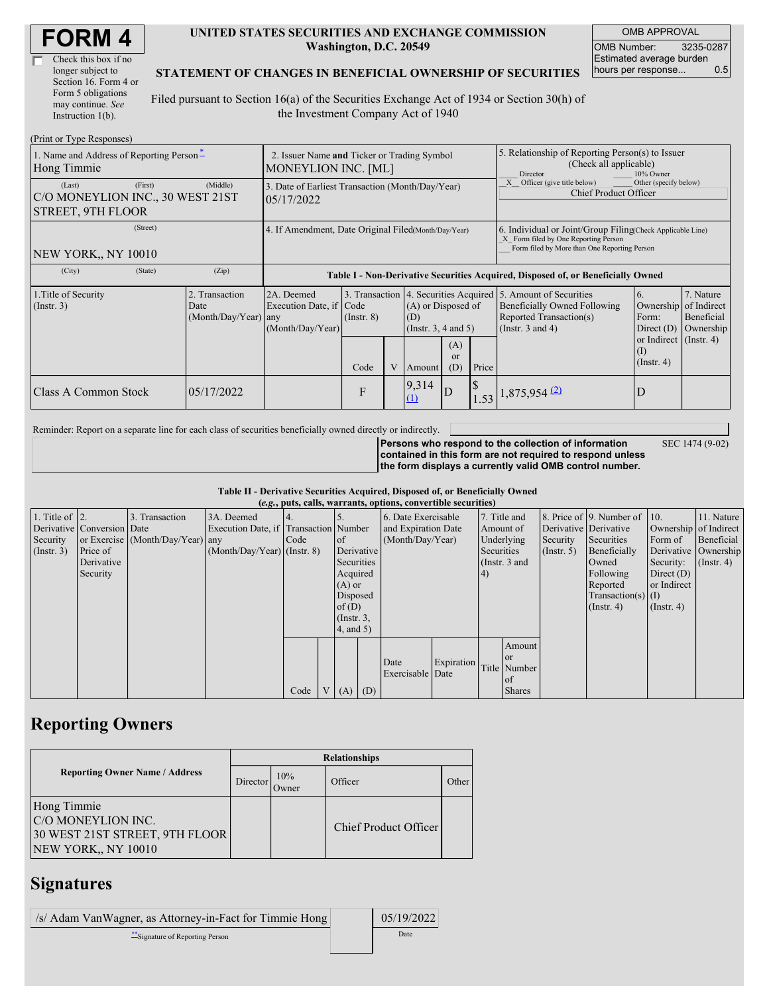| <b>FORM4</b> |
|--------------|
|--------------|

| Check this box if no  |
|-----------------------|
| longer subject to     |
| Section 16. Form 4 or |
| Form 5 obligations    |
| may continue. See     |
| Instruction $1(b)$ .  |

#### **UNITED STATES SECURITIES AND EXCHANGE COMMISSION Washington, D.C. 20549**

OMB APPROVAL OMB Number: 3235-0287 Estimated average burden hours per response... 0.5

SEC 1474 (9-02)

#### **STATEMENT OF CHANGES IN BENEFICIAL OWNERSHIP OF SECURITIES**

Filed pursuant to Section 16(a) of the Securities Exchange Act of 1934 or Section 30(h) of the Investment Company Act of 1940

| (Print or Type Responses)                                                         |                                                                           |                                                                                  |                 |  |                                                          |                  |                                                                                                     |                                                                                                                                                    |                                                                              |                                                     |  |
|-----------------------------------------------------------------------------------|---------------------------------------------------------------------------|----------------------------------------------------------------------------------|-----------------|--|----------------------------------------------------------|------------------|-----------------------------------------------------------------------------------------------------|----------------------------------------------------------------------------------------------------------------------------------------------------|------------------------------------------------------------------------------|-----------------------------------------------------|--|
| 1. Name and Address of Reporting Person-<br>Hong Timmie                           | 2. Issuer Name and Ticker or Trading Symbol<br><b>MONEYLION INC. [ML]</b> |                                                                                  |                 |  |                                                          |                  | 5. Relationship of Reporting Person(s) to Issuer<br>(Check all applicable)<br>Director<br>10% Owner |                                                                                                                                                    |                                                                              |                                                     |  |
| (First)<br>(Last)<br>C/O MONEYLION INC., 30 WEST 21ST<br><b>STREET, 9TH FLOOR</b> | (Middle)                                                                  | 3. Date of Earliest Transaction (Month/Day/Year)<br>05/17/2022                   |                 |  |                                                          |                  | Other (specify below)<br>Officer (give title below)<br><b>Chief Product Officer</b>                 |                                                                                                                                                    |                                                                              |                                                     |  |
| (Street)<br><b>NEW YORK., NY 10010</b>                                            |                                                                           | 4. If Amendment, Date Original Filed(Month/Day/Year)                             |                 |  |                                                          |                  |                                                                                                     | 6. Individual or Joint/Group Filing Check Applicable Line)<br>X Form filed by One Reporting Person<br>Form filed by More than One Reporting Person |                                                                              |                                                     |  |
| (City)<br>(State)                                                                 | (Zip)                                                                     | Table I - Non-Derivative Securities Acquired, Disposed of, or Beneficially Owned |                 |  |                                                          |                  |                                                                                                     |                                                                                                                                                    |                                                                              |                                                     |  |
| 1. Title of Security<br>(Insert. 3)                                               | 2. Transaction<br>Date<br>(Month/Day/Year) any                            | 2A. Deemed<br>Execution Date, if Code<br>(Month/Day/Year)                        | $($ Instr. $8)$ |  | (A) or Disposed of<br>(D)<br>(Insert. 3, 4 and 5)<br>(A) |                  |                                                                                                     | 3. Transaction 4. Securities Acquired 5. Amount of Securities<br>Beneficially Owned Following<br>Reported Transaction(s)<br>(Instr. $3$ and $4$ )  | 6.<br>Ownership<br>Form:<br>Direct $(D)$<br>or Indirect $($ Instr. 4)<br>(I) | 7. Nature<br>of Indirect<br>Beneficial<br>Ownership |  |
|                                                                                   |                                                                           |                                                                                  | Code            |  | Amount                                                   | <b>or</b><br>(D) | Price                                                                                               |                                                                                                                                                    | $($ Instr. 4 $)$                                                             |                                                     |  |
| Class A Common Stock                                                              | 05/17/2022                                                                |                                                                                  | F               |  | 9,314<br>$\mathbf{\underline{\underline{\mu}}}$          | D                |                                                                                                     | $1.53$ 1,875,954 (2)                                                                                                                               | D                                                                            |                                                     |  |

Reminder: Report on a separate line for each class of securities beneficially owned directly or indirectly.

**Persons who respond to the collection of information contained in this form are not required to respond unless the form displays a currently valid OMB control number.**

**Table II - Derivative Securities Acquired, Disposed of, or Beneficially Owned**

| (e.g., puts, calls, warrants, options, convertible securities) |                            |                                  |                                       |      |  |                 |                     |                     |            |                 |                      |                       |                              |                       |                      |
|----------------------------------------------------------------|----------------------------|----------------------------------|---------------------------------------|------|--|-----------------|---------------------|---------------------|------------|-----------------|----------------------|-----------------------|------------------------------|-----------------------|----------------------|
| 1. Title of $\vert$ 2.                                         |                            | 3. Transaction                   | 3A. Deemed                            |      |  |                 |                     | 6. Date Exercisable |            |                 | 7. Title and         |                       | 8. Price of 9. Number of 10. |                       | 11. Nature           |
|                                                                | Derivative Conversion Date |                                  | Execution Date, if Transaction Number |      |  |                 | and Expiration Date |                     | Amount of  |                 |                      | Derivative Derivative |                              | Ownership of Indirect |                      |
| Security                                                       |                            | or Exercise (Month/Day/Year) any |                                       | Code |  | of              |                     | (Month/Day/Year)    |            | Underlying      |                      | Security              | Securities                   | Form of               | Beneficial           |
| (Insert. 3)                                                    | Price of                   |                                  | $(Month/Day/Year)$ (Instr. 8)         |      |  |                 | Derivative          |                     |            |                 | Securities           | $($ Instr. 5 $)$      | Beneficially                 |                       | Derivative Ownership |
|                                                                | Derivative                 |                                  |                                       |      |  | Securities      |                     |                     |            | (Instr. $3$ and |                      |                       | Owned                        | Security:             | $($ Instr. 4 $)$     |
|                                                                | Security                   |                                  |                                       |      |  | Acquired        |                     |                     |            | 4)              |                      |                       | Following                    | Direct $(D)$          |                      |
|                                                                |                            |                                  |                                       |      |  | $(A)$ or        |                     |                     |            |                 |                      |                       | Reported                     | or Indirect           |                      |
|                                                                |                            |                                  |                                       |      |  | Disposed        |                     |                     |            |                 | $Transaction(s)$ (I) |                       |                              |                       |                      |
|                                                                |                            |                                  |                                       |      |  | of(D)           |                     |                     |            |                 |                      | $($ Instr. 4 $)$      | $($ Instr. 4 $)$             |                       |                      |
|                                                                |                            |                                  |                                       |      |  | $($ Instr. $3,$ |                     |                     |            |                 |                      |                       |                              |                       |                      |
|                                                                |                            |                                  |                                       |      |  | $4$ , and $5$ ) |                     |                     |            |                 |                      |                       |                              |                       |                      |
|                                                                |                            |                                  |                                       |      |  |                 |                     |                     |            |                 | Amount               |                       |                              |                       |                      |
|                                                                |                            |                                  |                                       |      |  |                 |                     |                     |            |                 | or                   |                       |                              |                       |                      |
|                                                                |                            |                                  |                                       |      |  |                 |                     | Date                | Expiration |                 | Title Number         |                       |                              |                       |                      |
|                                                                |                            |                                  |                                       |      |  |                 |                     | Exercisable Date    |            |                 | <sub>of</sub>        |                       |                              |                       |                      |
|                                                                |                            |                                  |                                       | Code |  | V(A)            | (D)                 |                     |            |                 | <b>Shares</b>        |                       |                              |                       |                      |

## **Reporting Owners**

|                                                                                            | <b>Relationships</b> |              |                              |       |  |  |  |  |  |
|--------------------------------------------------------------------------------------------|----------------------|--------------|------------------------------|-------|--|--|--|--|--|
| <b>Reporting Owner Name / Address</b>                                                      | <b>Director</b>      | 10%<br>Owner | Officer                      | Other |  |  |  |  |  |
| Hong Timmie<br>C/O MONEYLION INC.<br>30 WEST 21ST STREET, 9TH FLOOR<br>NEW YORK,, NY 10010 |                      |              | <b>Chief Product Officer</b> |       |  |  |  |  |  |

### **Signatures**

| /s/ Adam VanWagner, as Attorney-in-Fact for Timmie Hong | 05/19/2022 |
|---------------------------------------------------------|------------|
| **Signature of Reporting Person                         | Date       |